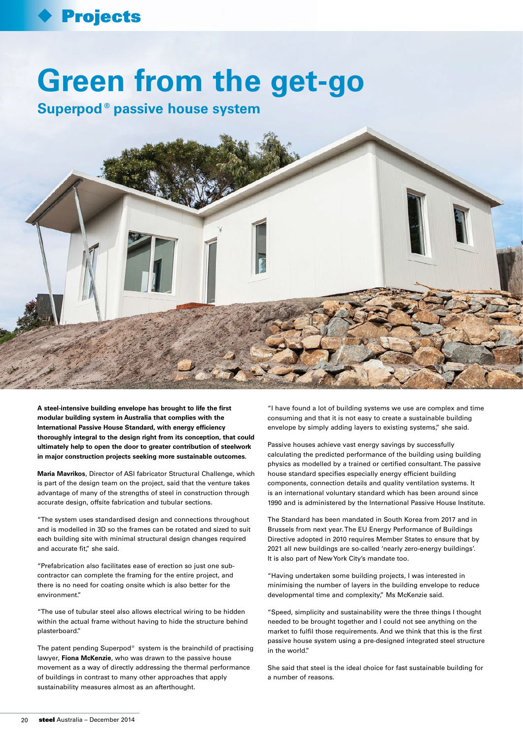## Projects

## **Green from the get-go**

**Superpod®passive house system**



**A steel-intensive building envelope has brought to life the first modular building system in Australia that complies with the International Passive House Standard, with energy efficiency thoroughly integral to the design right from its conception, that could ultimately help to open the door to greater contribution of steelwork in major construction projects seeking more sustainable outcomes.**

**Maria Mavrikos**, Director of ASI fabricator Structural Challenge, which is part of the design team on the project, said that the venture takes advantage of many of the strengths of steel in construction through accurate design, offsite fabrication and tubular sections.

"The system uses standardised design and connections throughout and is modelled in 3D so the frames can be rotated and sized to suit each building site with minimal structural design changes required and accurate fit," she said.

"Prefabrication also facilitates ease of erection so just one subcontractor can complete the framing for the entire project, and there is no need for coating onsite which is also better for the environment."

"The use of tubular steel also allows electrical wiring to be hidden within the actual frame without having to hide the structure behind plasterboard."

The patent pending Superpod® system is the brainchild of practising lawyer, **Fiona McKenzie**, who was drawn to the passive house movement as a way of directly addressing the thermal performance of buildings in contrast to many other approaches that apply sustainability measures almost as an afterthought.

"I have found a lot of building systems we use are complex and time consuming and that it is not easy to create a sustainable building envelope by simply adding layers to existing systems," she said.

Passive houses achieve vast energy savings by successfully calculating the predicted performance of the building using building physics as modelled by a trained or certified consultant. The passive house standard specifies especially energy efficient building components, connection details and quality ventilation systems. It is an international voluntary standard which has been around since 1990 and is administered by the International Passive House Institute.

The Standard has been mandated in South Korea from 2017 and in Brussels from next year. The EU Energy Performance of Buildings Directive adopted in 2010 requires Member States to ensure that by 2021 all new buildings are so-called 'nearly zero-energy buildings'. It is also part of New York City's mandate too.

"Having undertaken some building projects, I was interested in minimising the number of layers in the building envelope to reduce developmental time and complexity," Ms McKenzie said.

"Speed, simplicity and sustainability were the three things I thought needed to be brought together and I could not see anything on the market to fulfil those requirements. And we think that this is the first passive house system using a pre-designed integrated steel structure in the world."

She said that steel is the ideal choice for fast sustainable building for a number of reasons.